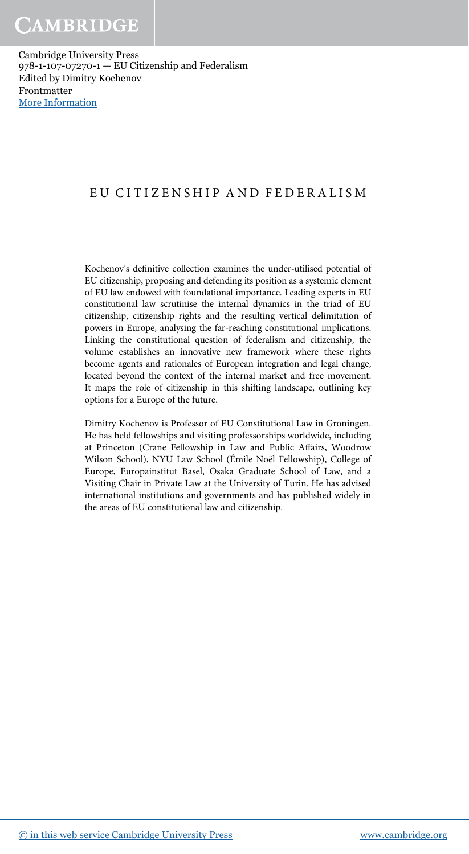# EU CITIZENSHIP AND FEDERALISM

Kochenov's definitive collection examines the under-utilised potential of EU citizenship, proposing and defending its position as a systemic element of EU law endowed with foundational importance. Leading experts in EU constitutional law scrutinise the internal dynamics in the triad of EU citizenship, citizenship rights and the resulting vertical delimitation of powers in Europe, analysing the far-reaching constitutional implications. Linking the constitutional question of federalism and citizenship, the volume establishes an innovative new framework where these rights become agents and rationales of European integration and legal change, located beyond the context of the internal market and free movement. It maps the role of citizenship in this shifting landscape, outlining key options for a Europe of the future.

Dimitry Kochenov is Professor of EU Constitutional Law in Groningen. He has held fellowships and visiting professorships worldwide, including at Princeton (Crane Fellowship in Law and Public Affairs, Woodrow Wilson School), NYU Law School (Émile Noël Fellowship), College of Europe, Europainstitut Basel, Osaka Graduate School of Law, and a Visiting Chair in Private Law at the University of Turin. He has advised international institutions and governments and has published widely in the areas of EU constitutional law and citizenship.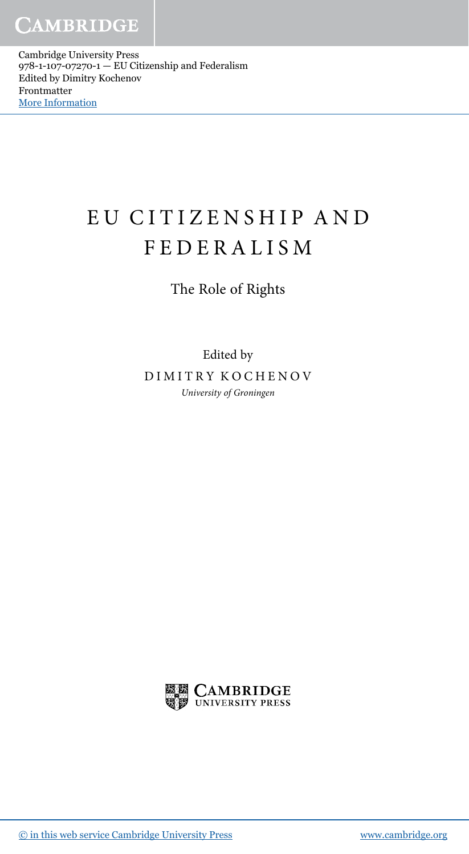# EU CITIZENSHIP AND FEDERALISM

The Role of Rights

Edited by DIMITRY KOCHENOV University of Groningen

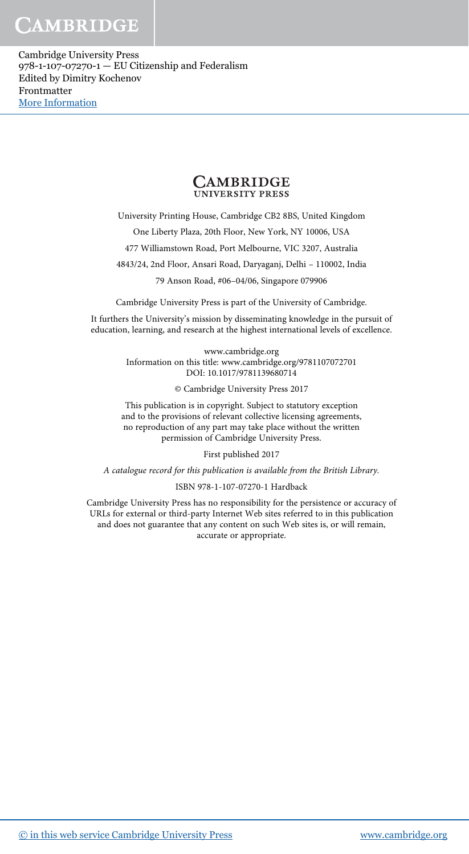CAMBRIDGE

Cambridge University Press 978-1-107-07270-1 — EU Citizenship and Federalism Edited by Dimitry Kochenov Frontmatter [More Information](www.cambridge.org/9781107072701)

# **CAMBRIDGE**<br>UNIVERSITY PRESS

University Printing House, Cambridge CB2 8BS, United Kingdom

One Liberty Plaza, 20th Floor, New York, NY 10006, USA

477 Williamstown Road, Port Melbourne, VIC 3207, Australia

4843/24, 2nd Floor, Ansari Road, Daryaganj, Delhi – 110002, India

79 Anson Road, #06–04/06, Singapore 079906

Cambridge University Press is part of the University of Cambridge.

It furthers the University's mission by disseminating knowledge in the pursuit of education, learning, and research at the highest international levels of excellence.

> www.cambridge.org Information on this title: www.cambridge.org/9781107072701 DOI: 10.1017/9781139680714

> > © Cambridge University Press 2017

This publication is in copyright. Subject to statutory exception and to the provisions of relevant collective licensing agreements, no reproduction of any part may take place without the written permission of Cambridge University Press.

First published 2017

A catalogue record for this publication is available from the British Library.

ISBN 978-1-107-07270-1 Hardback

Cambridge University Press has no responsibility for the persistence or accuracy of URLs for external or third-party Internet Web sites referred to in this publication and does not guarantee that any content on such Web sites is, or will remain, accurate or appropriate.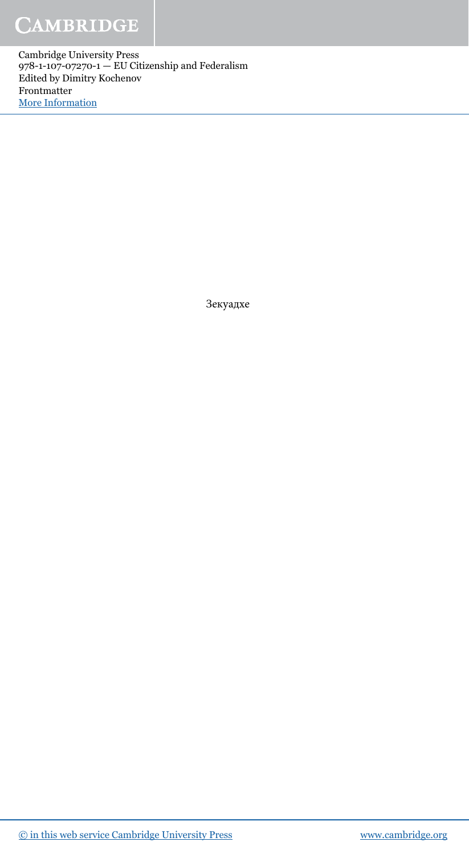# **CAMBRIDGE**

**Cambridge University Press** 978-1-107-07270-1 - EU Citizenship and Federalism Edited by Dimitry Kochenov Frontmatter More Information

Зекуадхе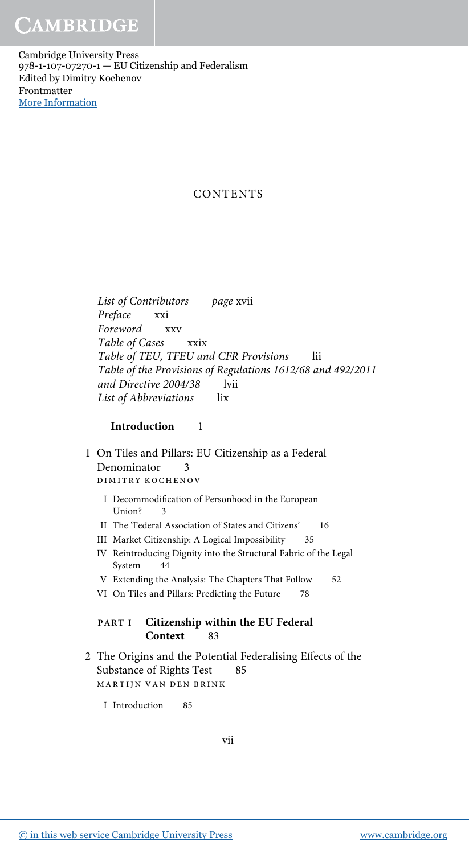# **CONTENTS**

List of Contributors page xvii Preface xxi Foreword xxv Table of Cases xxix Table of TEU, TFEU and CFR Provisions lii Table of the Provisions of Regulations 1612/68 and 492/2011 and Directive 2004/38 lvii List of Abbreviations lix

# Introduction 1

- 1 On Tiles and Pillars: EU Citizenship as a Federal Denominator 3 dimitry kochenov
	- I Decommodification of Personhood in the European Union? 3
	- II The 'Federal Association of States and Citizens' 16
	- III Market Citizenship: A Logical Impossibility 35
	- IV Reintroducing Dignity into the Structural Fabric of the Legal System 44
	- V Extending the Analysis: The Chapters That Follow 52
	- VI On Tiles and Pillars: Predicting the Future 78

# PART I Citizenship within the EU Federal Context 83

- 2 The Origins and the Potential Federalising Effects of the Substance of Rights Test 85 martijn van den brink
	- I Introduction 85

vii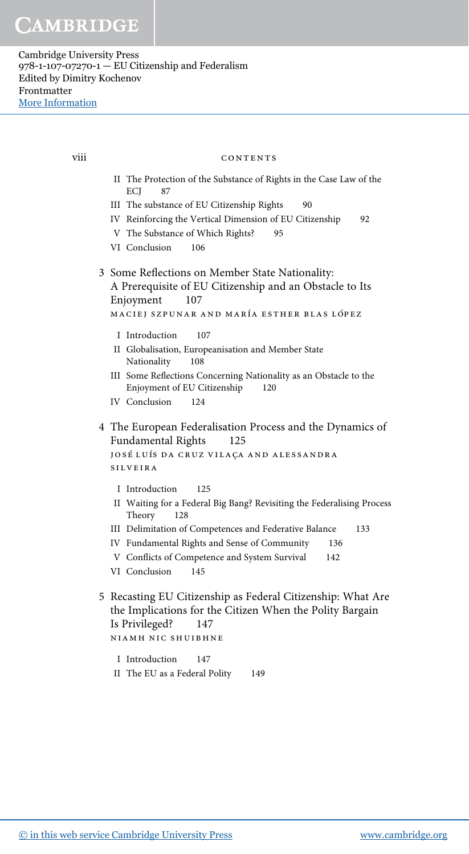viii

#### CONTENTS

- II The Protection of the Substance of Rights in the Case Law of the ECI 87
- III The substance of EU Citizenship Rights  $90^{\circ}$
- IV Reinforcing the Vertical Dimension of EU Citizenship 92
- V The Substance of Which Rights? 95
- VI Conclusion 106
- 3 Some Reflections on Member State Nationality: A Prerequisite of EU Citizenship and an Obstacle to Its Enjoyment 107

```
MACIEJ SZPUNAR AND MARÍA ESTHER BLAS LÓPEZ
```
- 107 I Introduction
- II Globalisation, Europeanisation and Member State 108 Nationality
- III Some Reflections Concerning Nationality as an Obstacle to the Enjoyment of EU Citizenship 120
- IV Conclusion 124
- 4 The European Federalisation Process and the Dynamics of Fundamental Rights 125 JOSÉ LUÍS DA CRUZ VILAÇA AND ALESSANDRA

**SILVEIRA** 

- I Introduction 125
- II Waiting for a Federal Big Bang? Revisiting the Federalising Process Theory 128
- III Delimitation of Competences and Federative Balance 133
- IV Fundamental Rights and Sense of Community 136
- V Conflicts of Competence and System Survival 142
- VI Conclusion  $145$
- 5 Recasting EU Citizenship as Federal Citizenship: What Are the Implications for the Citizen When the Polity Bargain Is Privileged? 147 NIAMH NIC SHUIBHNE
	- I Introduction  $147$
	- II The EU as a Federal Polity 149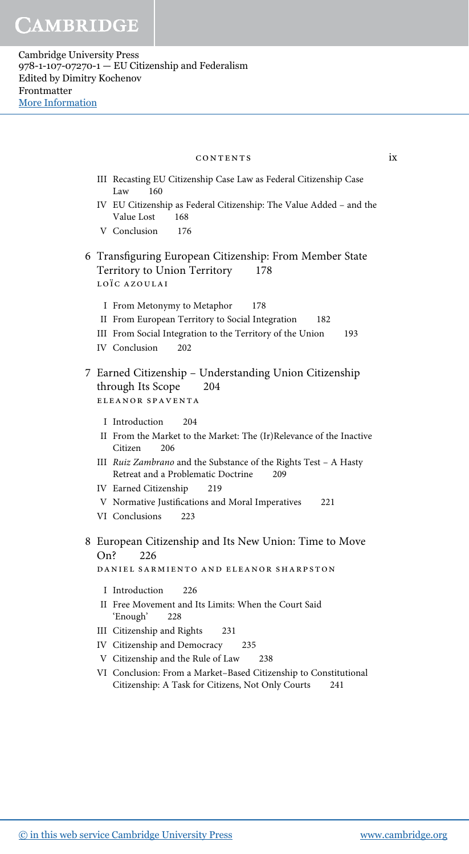### contents ix

- III Recasting EU Citizenship Case Law as Federal Citizenship Case Law 160
- IV EU Citizenship as Federal Citizenship: The Value Added and the Value Lost 168
- V Conclusion 176
- 6 Transfiguring European Citizenship: From Member State Territory to Union Territory 178 LOÏC AZOULAI
	- I From Metonymy to Metaphor 178
	- II From European Territory to Social Integration 182
	- III From Social Integration to the Territory of the Union 193
	- IV Conclusion 202
- 7 Earned Citizenship Understanding Union Citizenship through Its Scope 204 eleanor spaventa
	- I Introduction 204
	- II From the Market to the Market: The (Ir)Relevance of the Inactive Citizen 206
	- III Ruiz Zambrano and the Substance of the Rights Test A Hasty Retreat and a Problematic Doctrine 209
	- IV Earned Citizenship 219
	- V Normative Justifications and Moral Imperatives 221
	- VI Conclusions 223
- 8 European Citizenship and Its New Union: Time to Move On? 226

daniel sarmiento and eleanor sharpston

- I Introduction 226
- II Free Movement and Its Limits: When the Court Said 'Enough' 228
- III Citizenship and Rights 231
- IV Citizenship and Democracy 235
- V Citizenship and the Rule of Law 238
- VI Conclusion: From a Market–Based Citizenship to Constitutional Citizenship: A Task for Citizens, Not Only Courts 241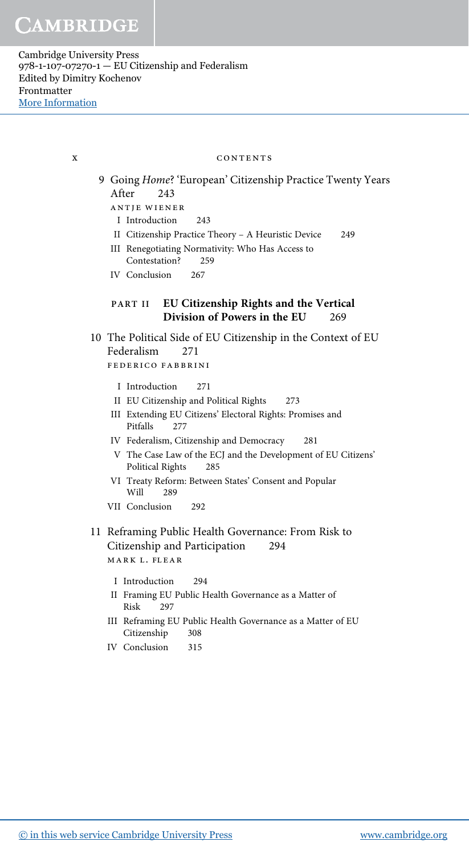#### x CONTENTS

- 9 Going Home? 'European' Citizenship Practice Twenty Years After 243 antje wiener
	- I Introduction 243
	- II Citizenship Practice Theory A Heuristic Device 249
	- III Renegotiating Normativity: Who Has Access to Contestation? 259
	- IV Conclusion 267

# PART II EU Citizenship Rights and the Vertical Division of Powers in the EU 269

- 10 The Political Side of EU Citizenship in the Context of EU Federalism 271 federico fabbrini
	- I Introduction 271
	- II EU Citizenship and Political Rights 273
	- III Extending EU Citizens' Electoral Rights: Promises and Pitfalls 277
	- IV Federalism, Citizenship and Democracy 281
	- V The Case Law of the ECJ and the Development of EU Citizens' Political Rights 285
	- VI Treaty Reform: Between States' Consent and Popular Will 289
	- VII Conclusion 292
- 11 Reframing Public Health Governance: From Risk to Citizenship and Participation 294 mark l. flear
	- I Introduction 294
	- II Framing EU Public Health Governance as a Matter of Risk 297
	- III Reframing EU Public Health Governance as a Matter of EU Citizenship 308
	- IV Conclusion 315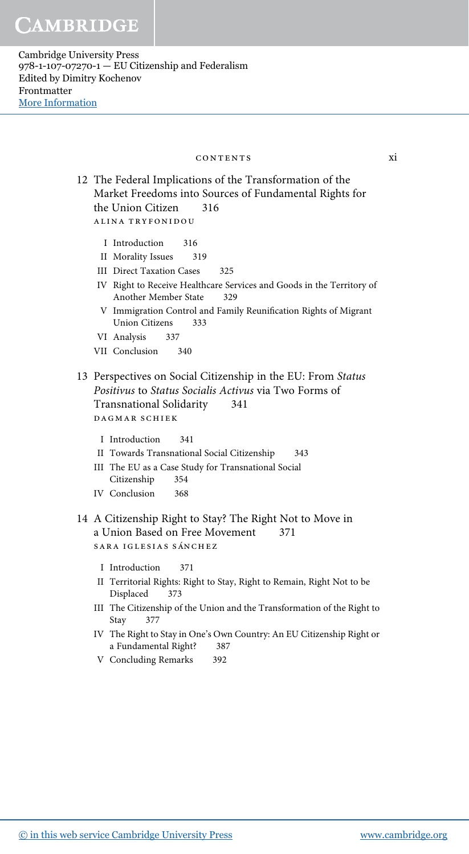## CONTENTS

12 The Federal Implications of the Transformation of the Market Freedoms into Sources of Fundamental Rights for the Union Citizen 316 ALINA TRYFONIDOU

- I Introduction 316
- II Morality Issues 319
- **III** Direct Taxation Cases 325
- IV Right to Receive Healthcare Services and Goods in the Territory of Another Member State 329
- V Immigration Control and Family Reunification Rights of Migrant **Union Citizens** 333
- VI Analysis 337
- VII Conclusion 340
- 13 Perspectives on Social Citizenship in the EU: From Status Positivus to Status Socialis Activus via Two Forms of **Transnational Solidarity** 341 DAGMAR SCHIEK
	- I Introduction  $341$
	- II Towards Transnational Social Citizenship 343
	- III The EU as a Case Study for Transnational Social Citizenship 354
	- IV Conclusion 368
- 14 A Citizenship Right to Stay? The Right Not to Move in a Union Based on Free Movement 371 SARA IGLESIAS SÁNCHEZ
	- I Introduction 371
	- II Territorial Rights: Right to Stay, Right to Remain, Right Not to be Displaced 373
	- III The Citizenship of the Union and the Transformation of the Right to Stay 377
	- IV The Right to Stay in One's Own Country: An EU Citizenship Right or a Fundamental Right? 387
	- V Concluding Remarks 392

xi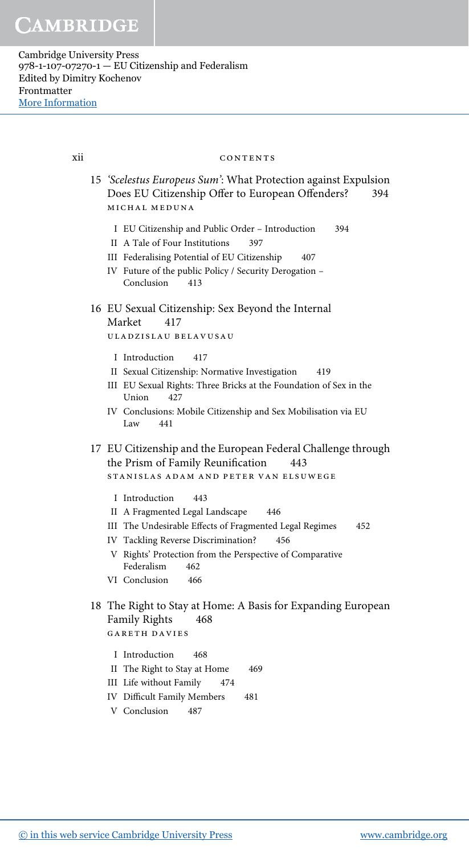xii

#### CONTENTS

- 15 'Scelestus Europeus Sum': What Protection against Expulsion Does EU Citizenship Offer to European Offenders? 394 MICHAL MEDUNA
	- I EU Citizenship and Public Order Introduction 394
	- II A Tale of Four Institutions 397
	- III Federalising Potential of EU Citizenship 407
	- IV Future of the public Policy / Security Derogation -Conclusion 413

#### 16 EU Sexual Citizenship: Sex Beyond the Internal Market 417

ULADZISLAU BELAVUSAU

- I Introduction 417
- II Sexual Citizenship: Normative Investigation 419
- III EU Sexual Rights: Three Bricks at the Foundation of Sex in the Union 427
- IV Conclusions: Mobile Citizenship and Sex Mobilisation via EU Law 441
- 17 EU Citizenship and the European Federal Challenge through the Prism of Family Reunification 443

STANISLAS ADAM AND PETER VAN ELSUWEGE

- I Introduction 443
- II A Fragmented Legal Landscape 446
- III The Undesirable Effects of Fragmented Legal Regimes 452
- IV Tackling Reverse Discrimination? 456
- V Rights' Protection from the Perspective of Comparative Federalism 462
- VI Conclusion 466
- 18 The Right to Stay at Home: A Basis for Expanding European Family Rights 468 **GARETH DAVIES** 
	- I Introduction 468
	- II The Right to Stay at Home 469
	- III Life without Family 474
	- **IV** Difficult Family Members 481
	- V Conclusion 487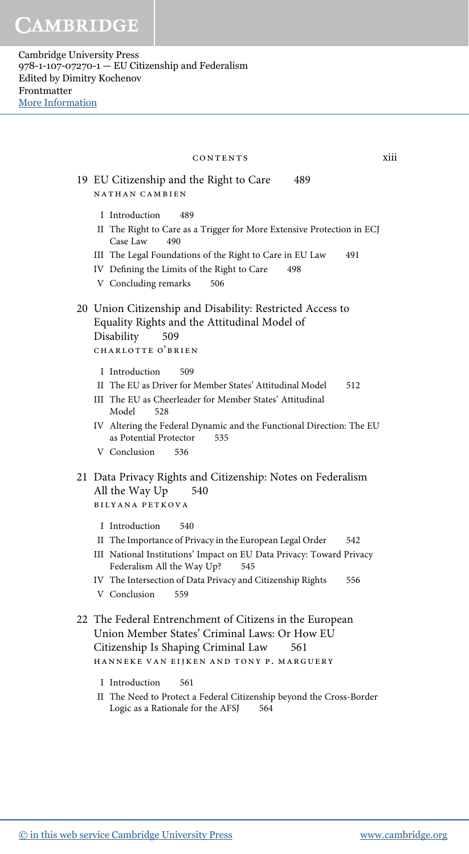| CONTENTS                                                                                                                                                                                                                                                                                             | xiii |
|------------------------------------------------------------------------------------------------------------------------------------------------------------------------------------------------------------------------------------------------------------------------------------------------------|------|
| 19 EU Citizenship and the Right to Care<br>489<br>NATHAN CAMBIEN                                                                                                                                                                                                                                     |      |
| I Introduction<br>489<br>II The Right to Care as a Trigger for More Extensive Protection in ECJ<br>Case Law<br>490<br>III The Legal Foundations of the Right to Care in EU Law<br>491<br>IV Defining the Limits of the Right to Care<br>498<br>V Concluding remarks<br>506                           |      |
| 20 Union Citizenship and Disability: Restricted Access to<br>Equality Rights and the Attitudinal Model of<br>Disability<br>509<br>CHARLOTTE O'BRIEN                                                                                                                                                  |      |
| I Introduction<br>509<br>II The EU as Driver for Member States' Attitudinal Model<br>512<br>III The EU as Cheerleader for Member States' Attitudinal<br>Model<br>528<br>IV Altering the Federal Dynamic and the Functional Direction: The EU<br>as Potential Protector<br>535<br>V Conclusion<br>536 |      |
| 21 Data Privacy Rights and Citizenship: Notes on Federalism<br>All the Way Up<br>540<br><b>BILYANA PETKOVA</b>                                                                                                                                                                                       |      |
| I Introduction<br>540<br>II The Importance of Privacy in the European Legal Order<br>542<br>III National Institutions' Impact on EU Data Privacy: Toward Privacy<br>Federalism All the Way Up?<br>545<br>IV The Intersection of Data Privacy and Citizenship Rights<br>556<br>V Conclusion<br>559    |      |
| 22 The Federal Entrenchment of Citizens in the European<br>Union Member States' Criminal Laws: Or How EU<br>Citizenship Is Shaping Criminal Law<br>561<br>HANNEKE VAN EIJKEN AND TONY P. MARGUERY                                                                                                    |      |
| I Introduction<br>561<br>II The Need to Protect a Federal Citizenship beyond the Cross-Border<br>Logic as a Rationale for the AFSJ<br>564                                                                                                                                                            |      |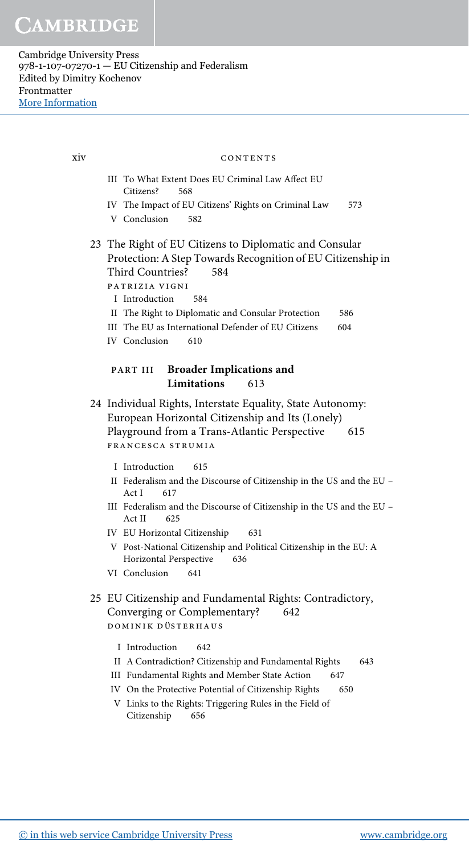> III To What Extent Does EU Criminal Law Affect EU Citizens? 568 IV The Impact of EU Citizens' Rights on Criminal Law 573 V Conclusion 582 23 The Right of EU Citizens to Diplomatic and Consular Protection: A Step Towards Recognition of EU Citizenship in Third Countries? 584 patrizia vigni I Introduction 584 II The Right to Diplomatic and Consular Protection 586 III The EU as International Defender of EU Citizens 604 IV Conclusion 610 PART III Broader Implications and Limitations 613 24 Individual Rights, Interstate Equality, State Autonomy: European Horizontal Citizenship and Its (Lonely) Playground from a Trans-Atlantic Perspective 615 francesca strumia I Introduction 615 II Federalism and the Discourse of Citizenship in the US and the EU – Act I 617 III Federalism and the Discourse of Citizenship in the US and the EU – Act II 625 IV EU Horizontal Citizenship 631 V Post-National Citizenship and Political Citizenship in the EU: A Horizontal Perspective 636 VI Conclusion 641 25 EU Citizenship and Fundamental Rights: Contradictory, Converging or Complementary? 642 DOMINIK DÜSTERHAUS I Introduction 642 II A Contradiction? Citizenship and Fundamental Rights 643 III Fundamental Rights and Member State Action 647 IV On the Protective Potential of Citizenship Rights 650 V Links to the Rights: Triggering Rules in the Field of Citizenship 656 xiv contents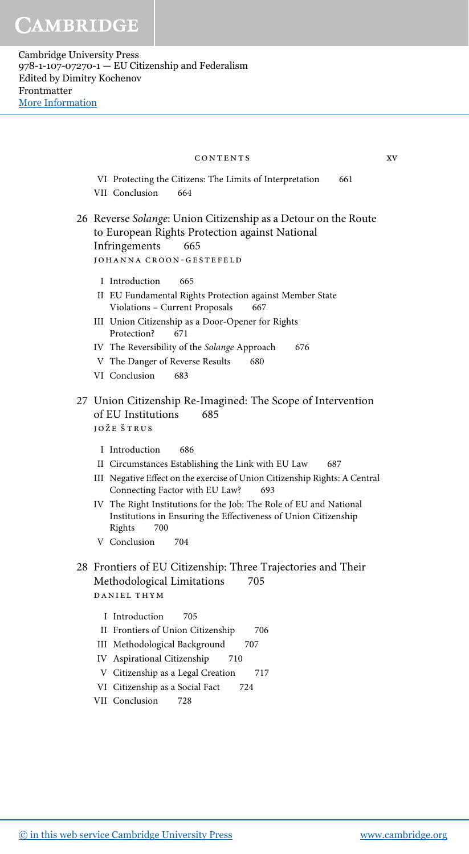VI Protecting the Citizens: The Limits of Interpretation 661 VII Conclusion 664 26 Reverse Solange: Union Citizenship as a Detour on the Route to European Rights Protection against National Infringements 665 johanna croon-gestefeld I Introduction 665 II EU Fundamental Rights Protection against Member State Violations - Current Proposals 667 III Union Citizenship as a Door-Opener for Rights Protection? 671 IV The Reversibility of the Solange Approach 676 V The Danger of Reverse Results 680 VI Conclusion 683 27 Union Citizenship Re-Imagined: The Scope of Intervention of EU Institutions 685 jože štrus I Introduction 686 II Circumstances Establishing the Link with EU Law 687 III Negative Effect on the exercise of Union Citizenship Rights: A Central Connecting Factor with EU Law? 693 IV The Right Institutions for the Job: The Role of EU and National Institutions in Ensuring the Effectiveness of Union Citizenship Rights 700 V Conclusion 704 28 Frontiers of EU Citizenship: Three Trajectories and Their Methodological Limitations 705 daniel thym I Introduction 705 II Frontiers of Union Citizenship 706 III Methodological Background 707 IV Aspirational Citizenship 710 V Citizenship as a Legal Creation 717 VI Citizenship as a Social Fact 724 contents xv

VII Conclusion 728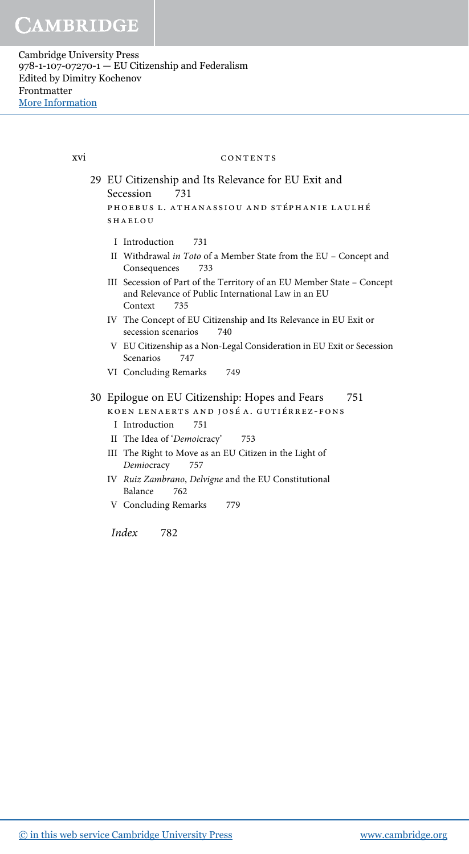xvi

CONTENTS 29 EU Citizenship and Its Relevance for EU Exit and Secession 731 PHOEBUS L. ATHANASSIOU AND STÉPHANIE LAULHÉ **SHAFLOU** I Introduction 731 II Withdrawal in Toto of a Member State from the EU - Concept and Consequences 733 III Secession of Part of the Territory of an EU Member State - Concept and Relevance of Public International Law in an EU Context 735 IV The Concept of EU Citizenship and Its Relevance in EU Exit or secession scenarios 740 V EU Citizenship as a Non-Legal Consideration in EU Exit or Secession Scenarios 747 VI Concluding Remarks 749 30 Epilogue on EU Citizenship: Hopes and Fears 751 KOEN LENAERTS AND JOSÉ A. GUTIÉRREZ-FONS I Introduction 751 II The Idea of 'Demoicracy' 753 III The Right to Move as an EU Citizen in the Light of 757 Demiocracy IV Ruiz Zambrano, Delvigne and the EU Constitutional Balance 762

V Concluding Remarks 779

*Index* 782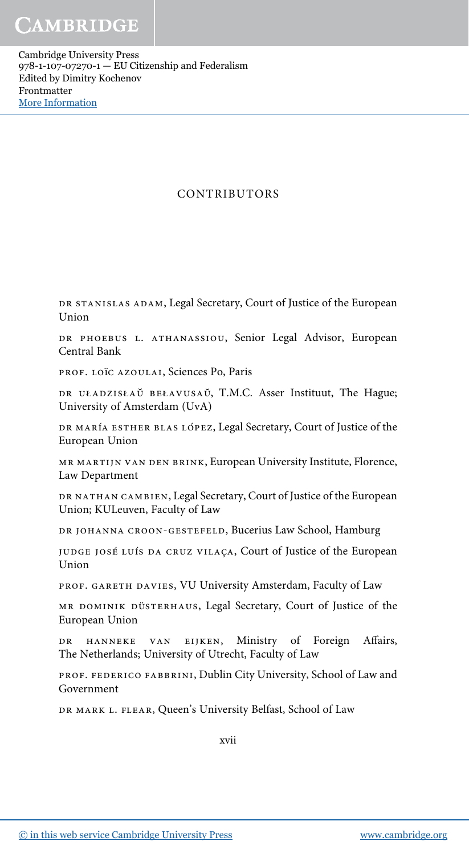# CONTRIBUTORS

DR STANISLAS ADAM, Legal Secretary, Court of Justice of the European Union

DR PHOEBUS L. ATHANASSIOU, Senior Legal Advisor, European Central Bank

prof. loïc azoulai, Sciences Po, Paris

DR UŁADZISŁAŬ BEŁAVUSAŬ, T.M.C. Asser Instituut, The Hague; University of Amsterdam (UvA)

DR MARÍA ESTHER BLAS LÓPEZ, Legal Secretary, Court of Justice of the European Union

mr martijn van den brink, European University Institute, Florence, Law Department

DR NATHAN CAMBIEN, Legal Secretary, Court of Justice of the European Union; KULeuven, Faculty of Law

DR JOHANNA CROON-GESTEFELD, Bucerius Law School, Hamburg

judge josé Luís da cruz vilaça, Court of Justice of the European Union

PROF. GARETH DAVIES, VU University Amsterdam, Faculty of Law

MR DOMINIK DÜSTERHAUS, Legal Secretary, Court of Justice of the European Union

DR HANNEKE VAN EIJKEN, Ministry of Foreign Affairs, The Netherlands; University of Utrecht, Faculty of Law

PROF. FEDERICO FABBRINI, Dublin City University, School of Law and Government

DR MARK L. FLEAR, Queen's University Belfast, School of Law

xvii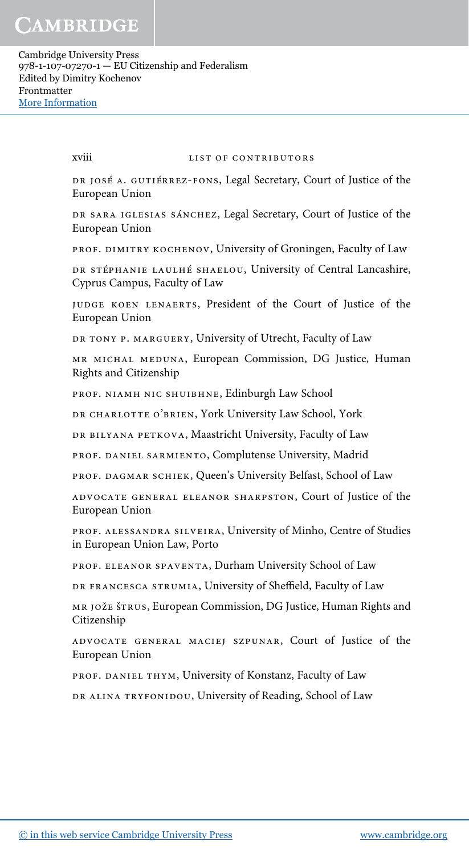xviii list of contributors

DR JOSÉ A. GUTIÉRREZ-FONS, Legal Secretary, Court of Justice of the European Union

DR SARA IGLESIAS SÁNCHEZ, Legal Secretary, Court of Justice of the European Union

prof. dimitry kochenov, University of Groningen, Faculty of Law

DR STÉPHANIE LAULHÉ SHAELOU, University of Central Lancashire, Cyprus Campus, Faculty of Law

judge koen lenaerts, President of the Court of Justice of the European Union

DR TONY P. MARGUERY, University of Utrecht, Faculty of Law

mr michal meduna, European Commission, DG Justice, Human Rights and Citizenship

PROF. NIAMH NIC SHUIBHNE, Edinburgh Law School

DR CHARLOTTE O'BRIEN, York University Law School, York

DR BILYANA PETKOVA, Maastricht University, Faculty of Law

PROF. DANIEL SARMIENTO, Complutense University, Madrid

PROF. DAGMAR SCHIEK, Queen's University Belfast, School of Law

advocate general eleanor sharpston, Court of Justice of the European Union

prof. alessandra silveira, University of Minho, Centre of Studies in European Union Law, Porto

prof. eleanor spaventa, Durham University School of Law

DR FRANCESCA STRUMIA, University of Sheffield, Faculty of Law

mr jože štrus, European Commission, DG Justice, Human Rights and Citizenship

advocate general maciej szpunar, Court of Justice of the European Union

prof. daniel thym, University of Konstanz, Faculty of Law

DR ALINA TRYFONIDOU, University of Reading, School of Law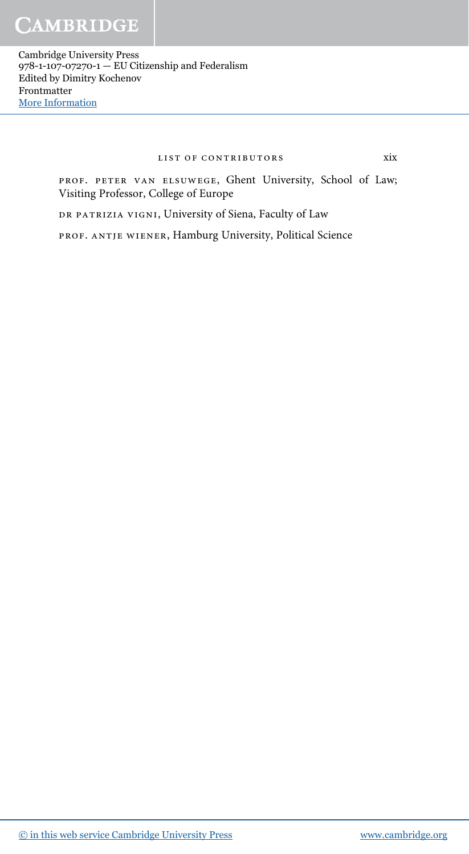### list of contributors xix

prof. peter van elsuwege, Ghent University, School of Law; Visiting Professor, College of Europe

DR PATRIZIA VIGNI, University of Siena, Faculty of Law

prof. antje wiener, Hamburg University, Political Science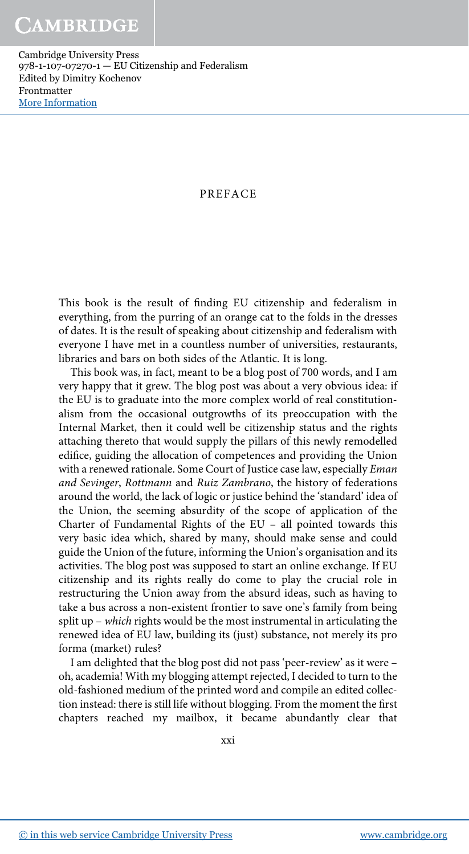# PREFACE

This book is the result of finding EU citizenship and federalism in everything, from the purring of an orange cat to the folds in the dresses of dates. It is the result of speaking about citizenship and federalism with everyone I have met in a countless number of universities, restaurants, libraries and bars on both sides of the Atlantic. It is long.

This book was, in fact, meant to be a blog post of 700 words, and I am very happy that it grew. The blog post was about a very obvious idea: if the EU is to graduate into the more complex world of real constitutionalism from the occasional outgrowths of its preoccupation with the Internal Market, then it could well be citizenship status and the rights attaching thereto that would supply the pillars of this newly remodelled edifice, guiding the allocation of competences and providing the Union with a renewed rationale. Some Court of Justice case law, especially Eman and Sevinger, Rottmann and Ruiz Zambrano, the history of federations around the world, the lack of logic or justice behind the 'standard' idea of the Union, the seeming absurdity of the scope of application of the Charter of Fundamental Rights of the EU – all pointed towards this very basic idea which, shared by many, should make sense and could guide the Union of the future, informing the Union's organisation and its activities. The blog post was supposed to start an online exchange. If EU citizenship and its rights really do come to play the crucial role in restructuring the Union away from the absurd ideas, such as having to take a bus across a non-existent frontier to save one's family from being split up – which rights would be the most instrumental in articulating the renewed idea of EU law, building its (just) substance, not merely its pro forma (market) rules?

I am delighted that the blog post did not pass 'peer-review' as it were – oh, academia! With my blogging attempt rejected, I decided to turn to the old-fashioned medium of the printed word and compile an edited collection instead: there is still life without blogging. From the moment the first chapters reached my mailbox, it became abundantly clear that

xxi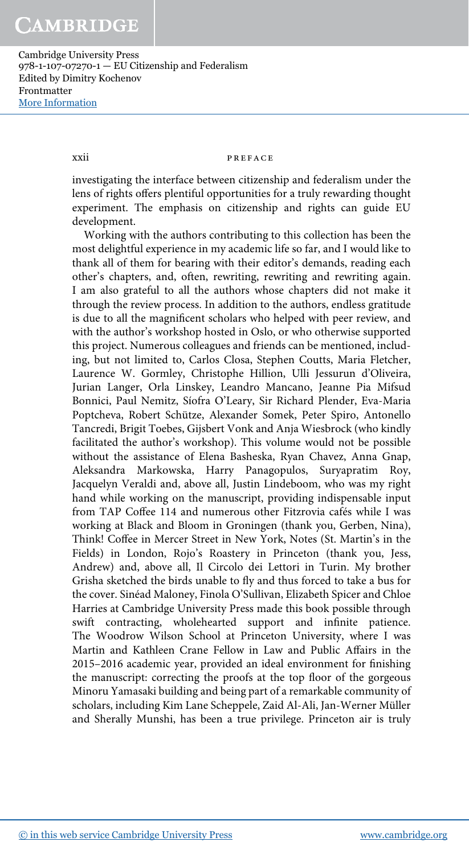### xxii PREFACE

investigating the interface between citizenship and federalism under the lens of rights offers plentiful opportunities for a truly rewarding thought experiment. The emphasis on citizenship and rights can guide EU development.

Working with the authors contributing to this collection has been the most delightful experience in my academic life so far, and I would like to thank all of them for bearing with their editor's demands, reading each other's chapters, and, often, rewriting, rewriting and rewriting again. I am also grateful to all the authors whose chapters did not make it through the review process. In addition to the authors, endless gratitude is due to all the magnificent scholars who helped with peer review, and with the author's workshop hosted in Oslo, or who otherwise supported this project. Numerous colleagues and friends can be mentioned, including, but not limited to, Carlos Closa, Stephen Coutts, Maria Fletcher, Laurence W. Gormley, Christophe Hillion, Ulli Jessurun d'Oliveira, Jurian Langer, Orla Linskey, Leandro Mancano, Jeanne Pia Mifsud Bonnici, Paul Nemitz, Síofra O'Leary, Sir Richard Plender, Eva-Maria Poptcheva, Robert Schütze, Alexander Somek, Peter Spiro, Antonello Tancredi, Brigit Toebes, Gijsbert Vonk and Anja Wiesbrock (who kindly facilitated the author's workshop). This volume would not be possible without the assistance of Elena Basheska, Ryan Chavez, Anna Gnap, Aleksandra Markowska, Harry Panagopulos, Suryapratim Roy, Jacquelyn Veraldi and, above all, Justin Lindeboom, who was my right hand while working on the manuscript, providing indispensable input from TAP Coffee 114 and numerous other Fitzrovia cafés while I was working at Black and Bloom in Groningen (thank you, Gerben, Nina), Think! Coffee in Mercer Street in New York, Notes (St. Martin's in the Fields) in London, Rojo's Roastery in Princeton (thank you, Jess, Andrew) and, above all, Il Circolo dei Lettori in Turin. My brother Grisha sketched the birds unable to fly and thus forced to take a bus for the cover. Sinéad Maloney, Finola O'Sullivan, Elizabeth Spicer and Chloe Harries at Cambridge University Press made this book possible through swift contracting, wholehearted support and infinite patience. The Woodrow Wilson School at Princeton University, where I was Martin and Kathleen Crane Fellow in Law and Public Affairs in the 2015–2016 academic year, provided an ideal environment for finishing the manuscript: correcting the proofs at the top floor of the gorgeous Minoru Yamasaki building and being part of a remarkable community of scholars, including Kim Lane Scheppele, Zaid Al-Ali, Jan-Werner Müller and Sherally Munshi, has been a true privilege. Princeton air is truly